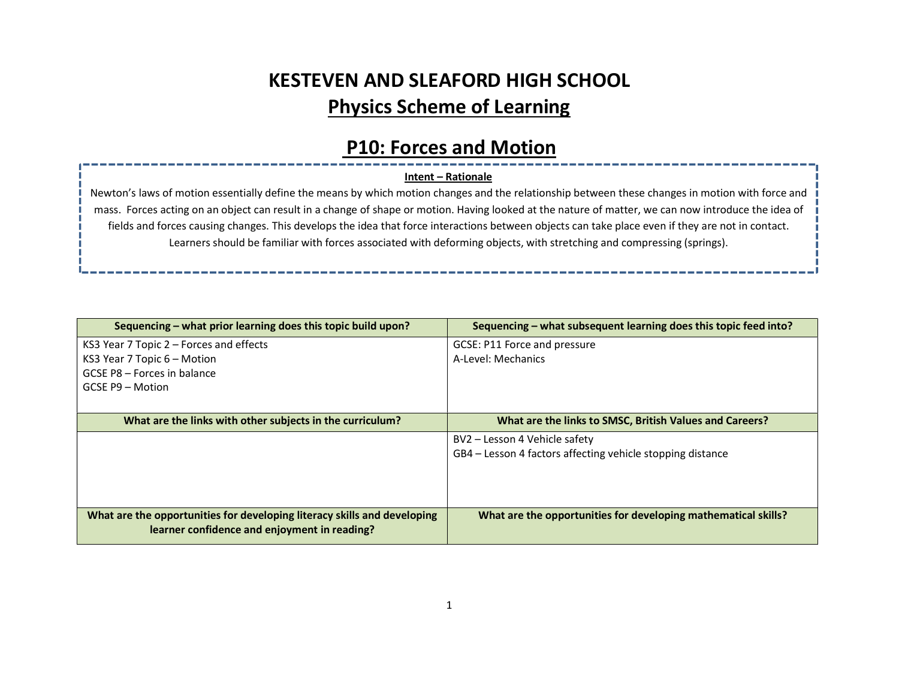# KESTEVEN AND SLEAFORD HIGH SCHOOL Physics Scheme of Learning

### P10: Forces and Motion

#### Intent – Rationale

Newton's laws of motion essentially define the means by which motion changes and the relationship between these changes in motion with force and mass. Forces acting on an object can result in a change of shape or motion. Having looked at the nature of matter, we can now introduce the idea of fields and forces causing changes. This develops the idea that force interactions between objects can take place even if they are not in contact. Learners should be familiar with forces associated with deforming objects, with stretching and compressing (springs).

| Sequencing – what prior learning does this topic build upon?             | Sequencing - what subsequent learning does this topic feed into? |
|--------------------------------------------------------------------------|------------------------------------------------------------------|
| KS3 Year 7 Topic 2 - Forces and effects                                  | GCSE: P11 Force and pressure                                     |
| KS3 Year 7 Topic $6$ – Motion                                            | A-Level: Mechanics                                               |
| GCSE P8 - Forces in balance                                              |                                                                  |
| GCSE P9 - Motion                                                         |                                                                  |
|                                                                          |                                                                  |
| What are the links with other subjects in the curriculum?                | What are the links to SMSC, British Values and Careers?          |
|                                                                          | BV2 – Lesson 4 Vehicle safety                                    |
|                                                                          | GB4 – Lesson 4 factors affecting vehicle stopping distance       |
|                                                                          |                                                                  |
|                                                                          |                                                                  |
|                                                                          |                                                                  |
| What are the opportunities for developing literacy skills and developing | What are the opportunities for developing mathematical skills?   |
| learner confidence and enjoyment in reading?                             |                                                                  |
|                                                                          |                                                                  |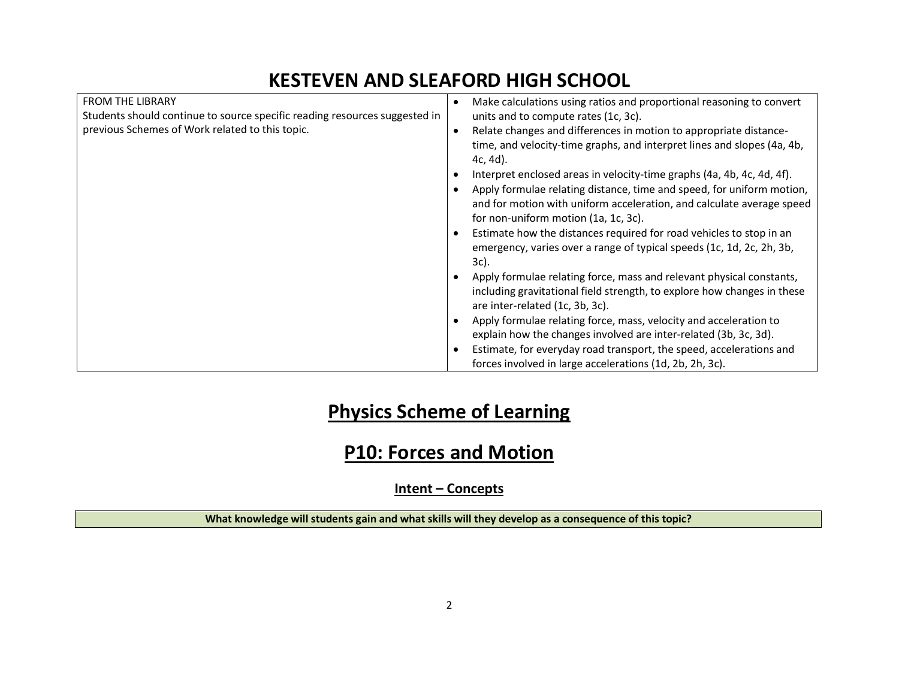| <b>FROM THE LIBRARY</b><br>Students should continue to source specific reading resources suggested in<br>previous Schemes of Work related to this topic. | Make calculations using ratios and proportional reasoning to convert<br>$\bullet$<br>units and to compute rates (1c, 3c).<br>Relate changes and differences in motion to appropriate distance-<br>$\bullet$<br>time, and velocity-time graphs, and interpret lines and slopes (4a, 4b,<br>$4c, 4d$ .<br>Interpret enclosed areas in velocity-time graphs (4a, 4b, 4c, 4d, 4f).<br>Apply formulae relating distance, time and speed, for uniform motion, |  |
|----------------------------------------------------------------------------------------------------------------------------------------------------------|---------------------------------------------------------------------------------------------------------------------------------------------------------------------------------------------------------------------------------------------------------------------------------------------------------------------------------------------------------------------------------------------------------------------------------------------------------|--|
|                                                                                                                                                          | and for motion with uniform acceleration, and calculate average speed<br>for non-uniform motion (1a, 1c, 3c).<br>Estimate how the distances required for road vehicles to stop in an<br>emergency, varies over a range of typical speeds (1c, 1d, 2c, 2h, 3b,<br>3c).                                                                                                                                                                                   |  |
|                                                                                                                                                          | Apply formulae relating force, mass and relevant physical constants,<br>including gravitational field strength, to explore how changes in these<br>are inter-related (1c, 3b, 3c).                                                                                                                                                                                                                                                                      |  |
|                                                                                                                                                          | Apply formulae relating force, mass, velocity and acceleration to<br>explain how the changes involved are inter-related (3b, 3c, 3d).                                                                                                                                                                                                                                                                                                                   |  |
|                                                                                                                                                          | Estimate, for everyday road transport, the speed, accelerations and<br>forces involved in large accelerations (1d, 2b, 2h, 3c).                                                                                                                                                                                                                                                                                                                         |  |

# Physics Scheme of Learning

### P10: Forces and Motion

Intent – Concepts

What knowledge will students gain and what skills will they develop as a consequence of this topic?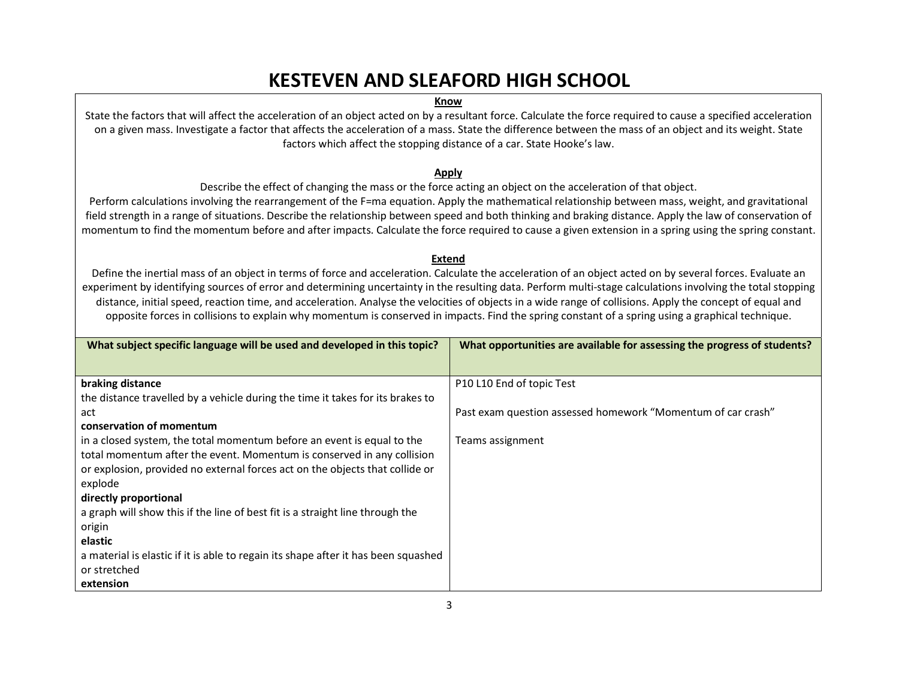#### Know

State the factors that will affect the acceleration of an object acted on by a resultant force. Calculate the force required to cause a specified acceleration on a given mass. Investigate a factor that affects the acceleration of a mass. State the difference between the mass of an object and its weight. State factors which affect the stopping distance of a car. State Hooke's law.

#### Apply

Describe the effect of changing the mass or the force acting an object on the acceleration of that object.

Perform calculations involving the rearrangement of the F=ma equation. Apply the mathematical relationship between mass, weight, and gravitational field strength in a range of situations. Describe the relationship between speed and both thinking and braking distance. Apply the law of conservation of momentum to find the momentum before and after impacts. Calculate the force required to cause a given extension in a spring using the spring constant.

#### Extend

Define the inertial mass of an object in terms of force and acceleration. Calculate the acceleration of an object acted on by several forces. Evaluate an experiment by identifying sources of error and determining uncertainty in the resulting data. Perform multi-stage calculations involving the total stopping distance, initial speed, reaction time, and acceleration. Analyse the velocities of objects in a wide range of collisions. Apply the concept of equal and opposite forces in collisions to explain why momentum is conserved in impacts. Find the spring constant of a spring using a graphical technique.

| What subject specific language will be used and developed in this topic?           | What opportunities are available for assessing the progress of students? |
|------------------------------------------------------------------------------------|--------------------------------------------------------------------------|
|                                                                                    |                                                                          |
| braking distance                                                                   | P10 L10 End of topic Test                                                |
| the distance travelled by a vehicle during the time it takes for its brakes to     |                                                                          |
| act                                                                                | Past exam question assessed homework "Momentum of car crash"             |
| conservation of momentum                                                           |                                                                          |
| in a closed system, the total momentum before an event is equal to the             | Teams assignment                                                         |
| total momentum after the event. Momentum is conserved in any collision             |                                                                          |
| or explosion, provided no external forces act on the objects that collide or       |                                                                          |
| explode                                                                            |                                                                          |
| directly proportional                                                              |                                                                          |
| a graph will show this if the line of best fit is a straight line through the      |                                                                          |
| origin                                                                             |                                                                          |
| elastic                                                                            |                                                                          |
| a material is elastic if it is able to regain its shape after it has been squashed |                                                                          |
| or stretched                                                                       |                                                                          |
| extension                                                                          |                                                                          |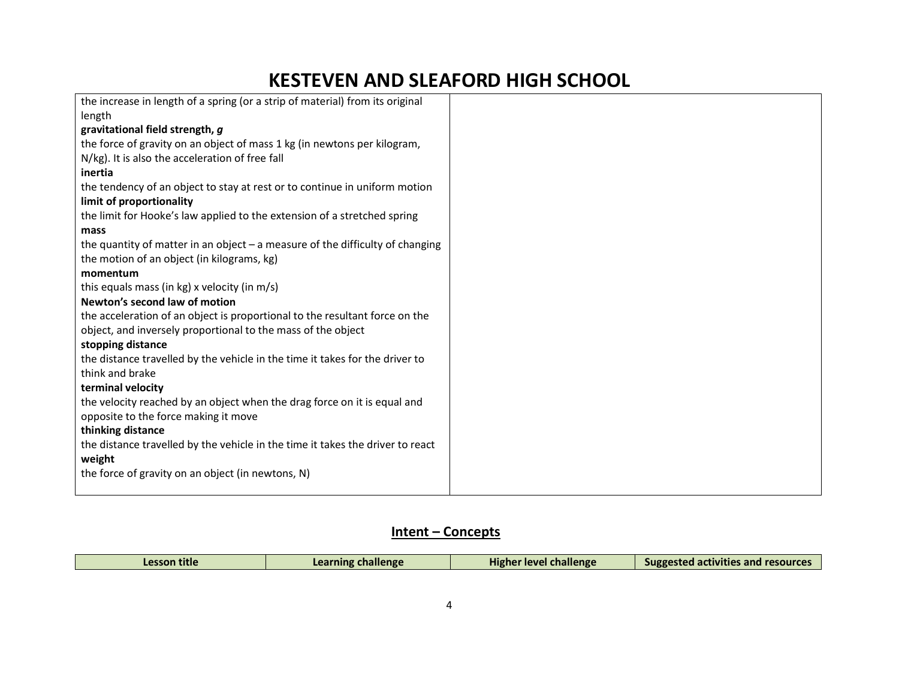| the increase in length of a spring (or a strip of material) from its original   |
|---------------------------------------------------------------------------------|
| length                                                                          |
| gravitational field strength, g                                                 |
| the force of gravity on an object of mass 1 kg (in newtons per kilogram,        |
| N/kg). It is also the acceleration of free fall                                 |
| inertia                                                                         |
| the tendency of an object to stay at rest or to continue in uniform motion      |
| limit of proportionality                                                        |
| the limit for Hooke's law applied to the extension of a stretched spring        |
| mass                                                                            |
| the quantity of matter in an object $-$ a measure of the difficulty of changing |
| the motion of an object (in kilograms, kg)                                      |
| momentum                                                                        |
| this equals mass (in kg) x velocity (in m/s)                                    |
| Newton's second law of motion                                                   |
| the acceleration of an object is proportional to the resultant force on the     |
| object, and inversely proportional to the mass of the object                    |
| stopping distance                                                               |
| the distance travelled by the vehicle in the time it takes for the driver to    |
| think and brake                                                                 |
| terminal velocity                                                               |
| the velocity reached by an object when the drag force on it is equal and        |
| opposite to the force making it move                                            |
| thinking distance                                                               |
| the distance travelled by the vehicle in the time it takes the driver to react  |
| weight                                                                          |
| the force of gravity on an object (in newtons, N)                               |
|                                                                                 |

### Intent – Concepts

| Lesson title | Learning challenge | l challenge<br>Higher level | ---<br>Suggested activities and resources |
|--------------|--------------------|-----------------------------|-------------------------------------------|
|              |                    |                             |                                           |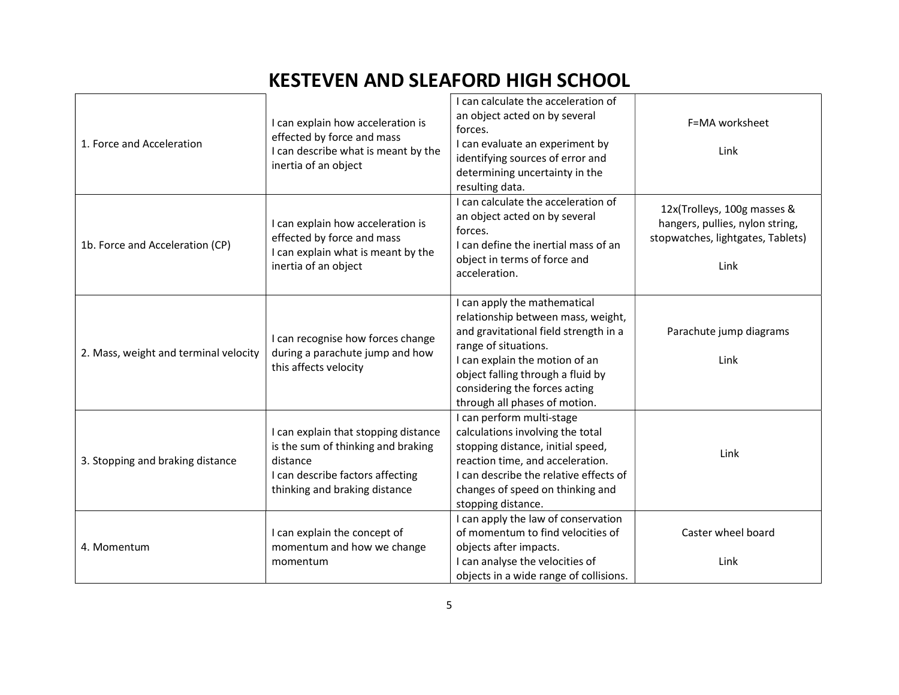| 1. Force and Acceleration             | I can explain how acceleration is<br>effected by force and mass<br>I can describe what is meant by the<br>inertia of an object                              | I can calculate the acceleration of<br>an object acted on by several<br>forces.<br>I can evaluate an experiment by<br>identifying sources of error and<br>determining uncertainty in the<br>resulting data.                                                                  | F=MA worksheet<br>Link                                                                                      |
|---------------------------------------|-------------------------------------------------------------------------------------------------------------------------------------------------------------|------------------------------------------------------------------------------------------------------------------------------------------------------------------------------------------------------------------------------------------------------------------------------|-------------------------------------------------------------------------------------------------------------|
| 1b. Force and Acceleration (CP)       | I can explain how acceleration is<br>effected by force and mass<br>I can explain what is meant by the<br>inertia of an object                               | I can calculate the acceleration of<br>an object acted on by several<br>forces.<br>I can define the inertial mass of an<br>object in terms of force and<br>acceleration.                                                                                                     | 12x(Trolleys, 100g masses &<br>hangers, pullies, nylon string,<br>stopwatches, lightgates, Tablets)<br>Link |
| 2. Mass, weight and terminal velocity | I can recognise how forces change<br>during a parachute jump and how<br>this affects velocity                                                               | I can apply the mathematical<br>relationship between mass, weight,<br>and gravitational field strength in a<br>range of situations.<br>I can explain the motion of an<br>object falling through a fluid by<br>considering the forces acting<br>through all phases of motion. | Parachute jump diagrams<br>Link                                                                             |
| 3. Stopping and braking distance      | I can explain that stopping distance<br>is the sum of thinking and braking<br>distance<br>I can describe factors affecting<br>thinking and braking distance | I can perform multi-stage<br>calculations involving the total<br>stopping distance, initial speed,<br>reaction time, and acceleration.<br>I can describe the relative effects of<br>changes of speed on thinking and<br>stopping distance.                                   | Link                                                                                                        |
| 4. Momentum                           | I can explain the concept of<br>momentum and how we change<br>momentum                                                                                      | I can apply the law of conservation<br>of momentum to find velocities of<br>objects after impacts.<br>I can analyse the velocities of<br>objects in a wide range of collisions.                                                                                              | Caster wheel board<br>Link                                                                                  |